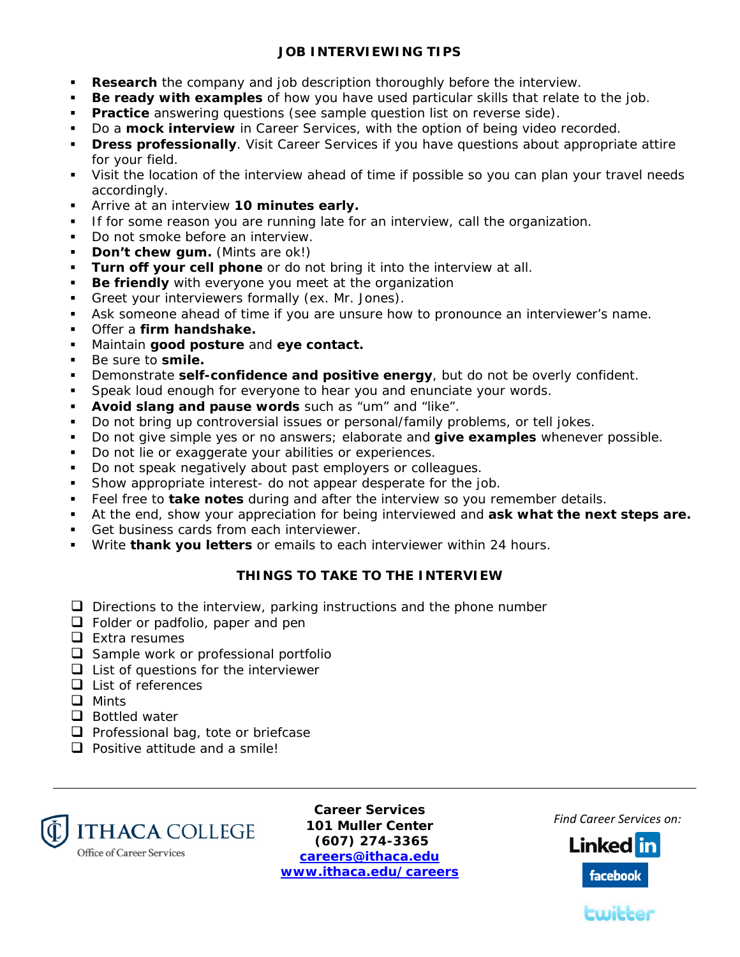## **JOB INTERVIEWING TIPS**

- **Research** the company and job description thoroughly before the interview.
- **Be ready with examples** of how you have used particular skills that relate to the job.
- **Practice** answering questions (see sample question list on reverse side).
- **Do a mock interview** in Career Services, with the option of being video recorded.
- **Dress professionally**. Visit Career Services if you have questions about appropriate attire for your field.
- Visit the location of the interview ahead of time if possible so you can plan your travel needs accordingly.
- Arrive at an interview **10 minutes early.**
- If for some reason you are running late for an interview, call the organization.
- Do not smoke before an interview.
- **Don't chew gum.** (Mints are ok!)
- **Turn off your cell phone** or do not bring it into the interview at all.
- **Be friendly** with everyone you meet at the organization
- Greet your interviewers formally (ex. Mr. Jones).
- Ask someone ahead of time if you are unsure how to pronounce an interviewer's name.
- Offer a **firm handshake.**
- Maintain **good posture** and **eye contact.**
- Be sure to **smile.**
- Demonstrate **self-confidence and positive energy**, but do not be overly confident.
- **Speak loud enough for everyone to hear you and enunciate your words.**
- **Avoid slang and pause words** such as "um" and "like".
- Do not bring up controversial issues or personal/family problems, or tell jokes.
- Do not give simple yes or no answers; elaborate and **give examples** whenever possible.
- Do not lie or exaggerate your abilities or experiences.
- Do not speak negatively about past employers or colleagues.
- Show appropriate interest- do not appear desperate for the job.
- Feel free to **take notes** during and after the interview so you remember details.
- At the end, show your appreciation for being interviewed and **ask what the next steps are.**
- Get business cards from each interviewer.
- Write **thank you letters** or emails to each interviewer within 24 hours.

## **THINGS TO TAKE TO THE INTERVIEW**

- $\Box$  Directions to the interview, parking instructions and the phone number
- **D** Folder or padfolio, paper and pen
- $\Box$  Extra resumes
- $\Box$  Sample work or professional portfolio
- $\Box$  List of questions for the interviewer
- $\Box$  List of references
- **Q** Mints
- $\Box$  Bottled water
- $\Box$  Professional bag, tote or briefcase
- $\Box$  Positive attitude and a smile!



**Career Services 101 Muller Center (607) 274-3365 careers@ithaca.edu www.ithaca.edu/careers** 

*Find Career Services on:*